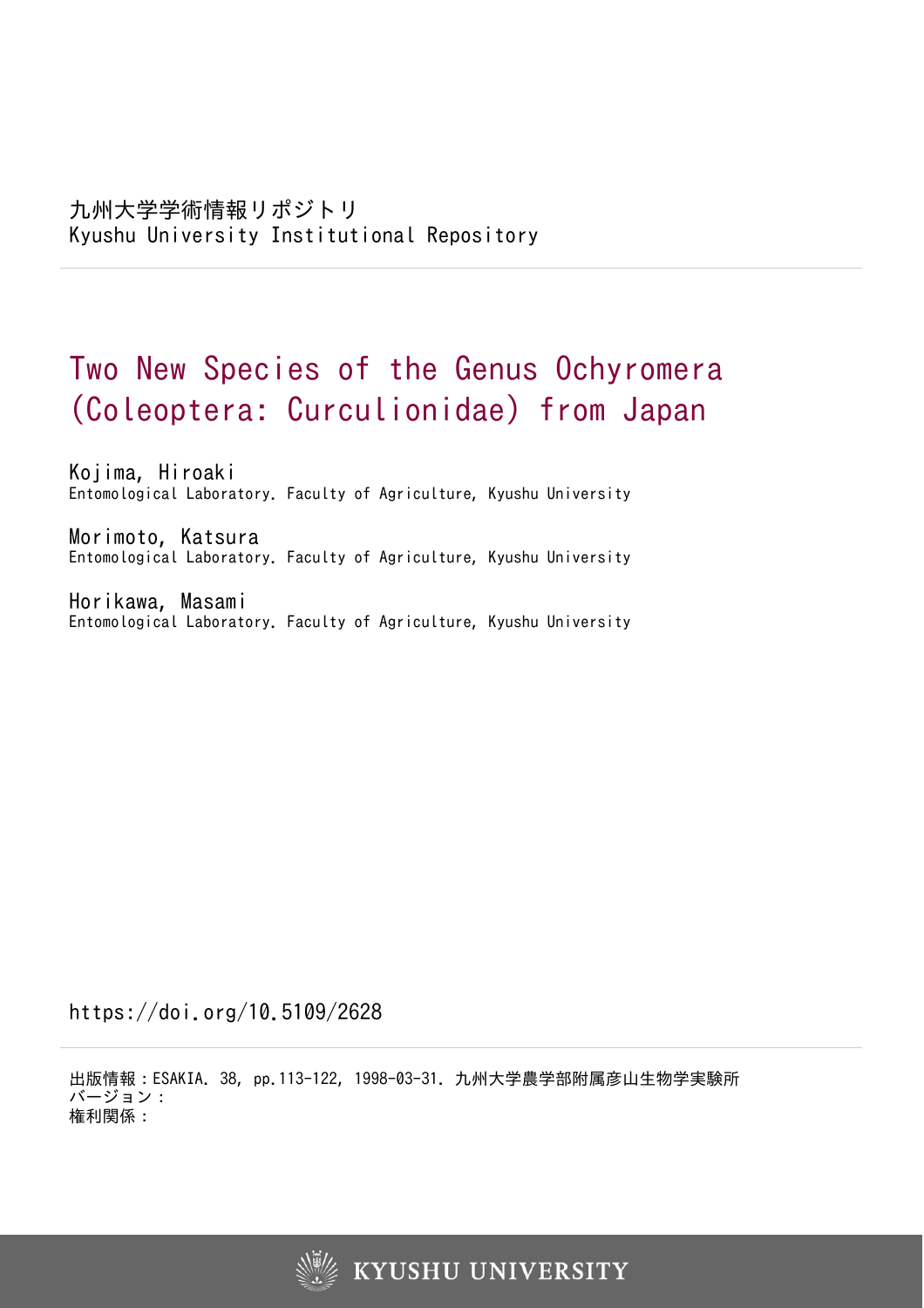# Two New Species of the Genus Ochyromera (Coleoptera: Curculionidae) from Japan

Kojima, Hiroaki Entomological Laboratory. Faculty of Agriculture, Kyushu University

Morimoto, Katsura Entomological Laboratory. Faculty of Agriculture, Kyushu University

Horikawa, Masami Entomological Laboratory. Faculty of Agriculture, Kyushu University

https://doi.org/10.5109/2628

出版情報:ESAKIA. 38, pp.113-122, 1998-03-31. 九州大学農学部附属彦山生物学実験所 バージョン: 権利関係:

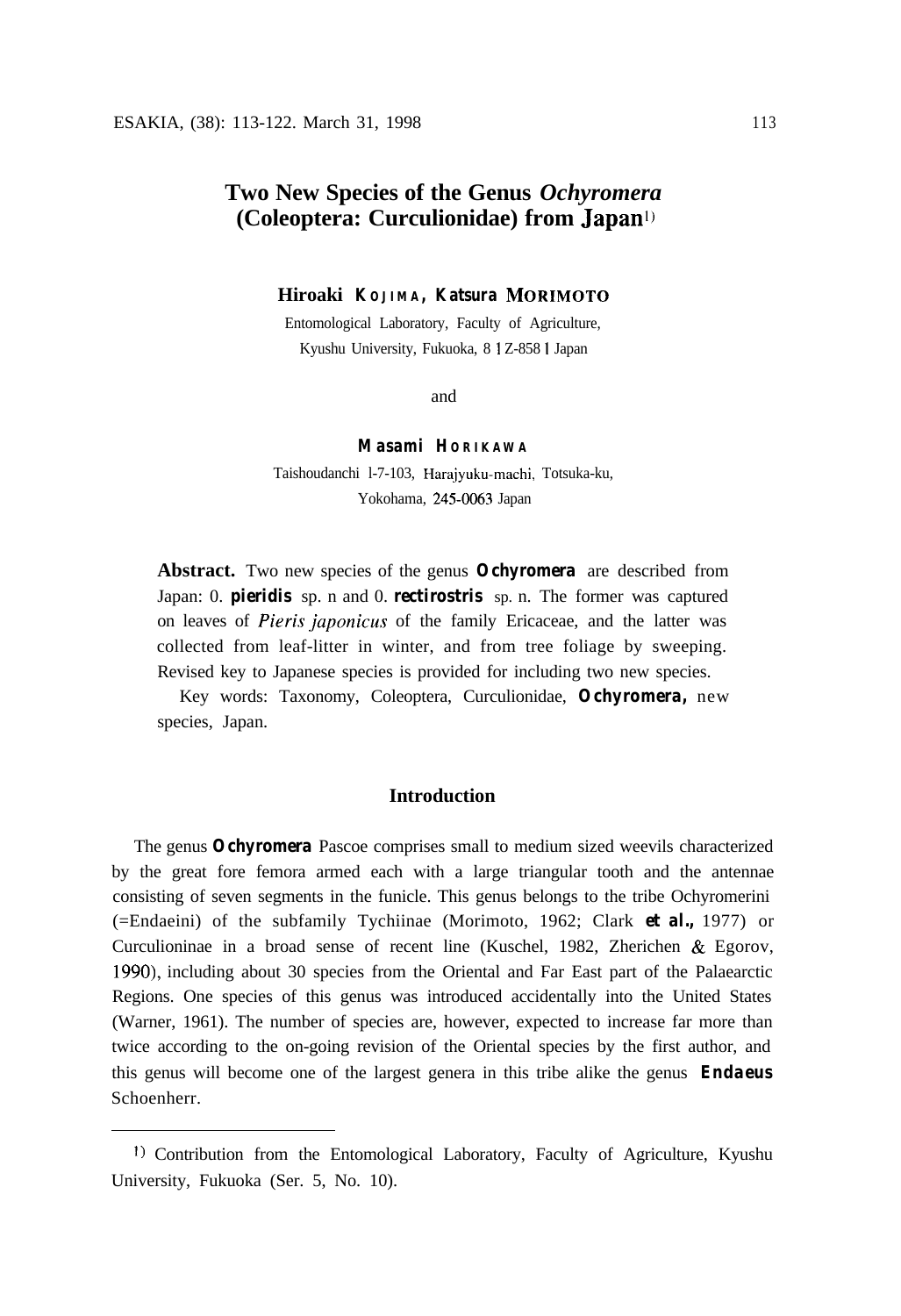# **Two New Species of the Genus** *Ochyromera* **(Coleoptera: Curculionidae) from Japan')**

**Hiroaki KOJIMA, Katsura MORIMOTO**

Entomological Laboratory, Faculty of Agriculture, Kyushu University, Fukuoka, 8 1 Z-858 I Japan

and

## **Masami HORIKAWA**

Taishoudanchi l-7-103, Harajyuku-machi, Totsuka-ku, Yokohama, 245-0063 Japan

**Abstract.** Two new species of the genus *Ochyromera* are described from Japan: 0. *pieridis* sp. n and 0. *rectirostris* sp. n. The former was captured on leaves of *Pieris japonicus* of the family Ericaceae, and the latter was collected from leaf-litter in winter, and from tree foliage by sweeping. Revised key to Japanese species is provided for including two new species.

Key words: Taxonomy, Coleoptera, Curculionidae, *Ochyromera,* new species, Japan.

## **Introduction**

The genus *Ochyromera* Pascoe comprises small to medium sized weevils characterized by the great fore femora armed each with a large triangular tooth and the antennae consisting of seven segments in the funicle. This genus belongs to the tribe Ochyromerini (=Endaeini) of the subfamily Tychiinae (Morimoto, 1962; Clark *et al.,* 1977) or Curculioninae in a broad sense of recent line (Kuschel, 1982, Zherichen & Egorov, 1990), including about 30 species from the Oriental and Far East part of the Palaearctic Regions. One species of this genus was introduced accidentally into the United States (Warner, 1961). The number of species are, however, expected to increase far more than twice according to the on-going revision of the Oriental species by the first author, and this genus will become one of the largest genera in this tribe alike the genus *Endaeus* Schoenherr.

t) Contribution from the Entomological Laboratory, Faculty of Agriculture, Kyushu University, Fukuoka (Ser. 5, No. 10).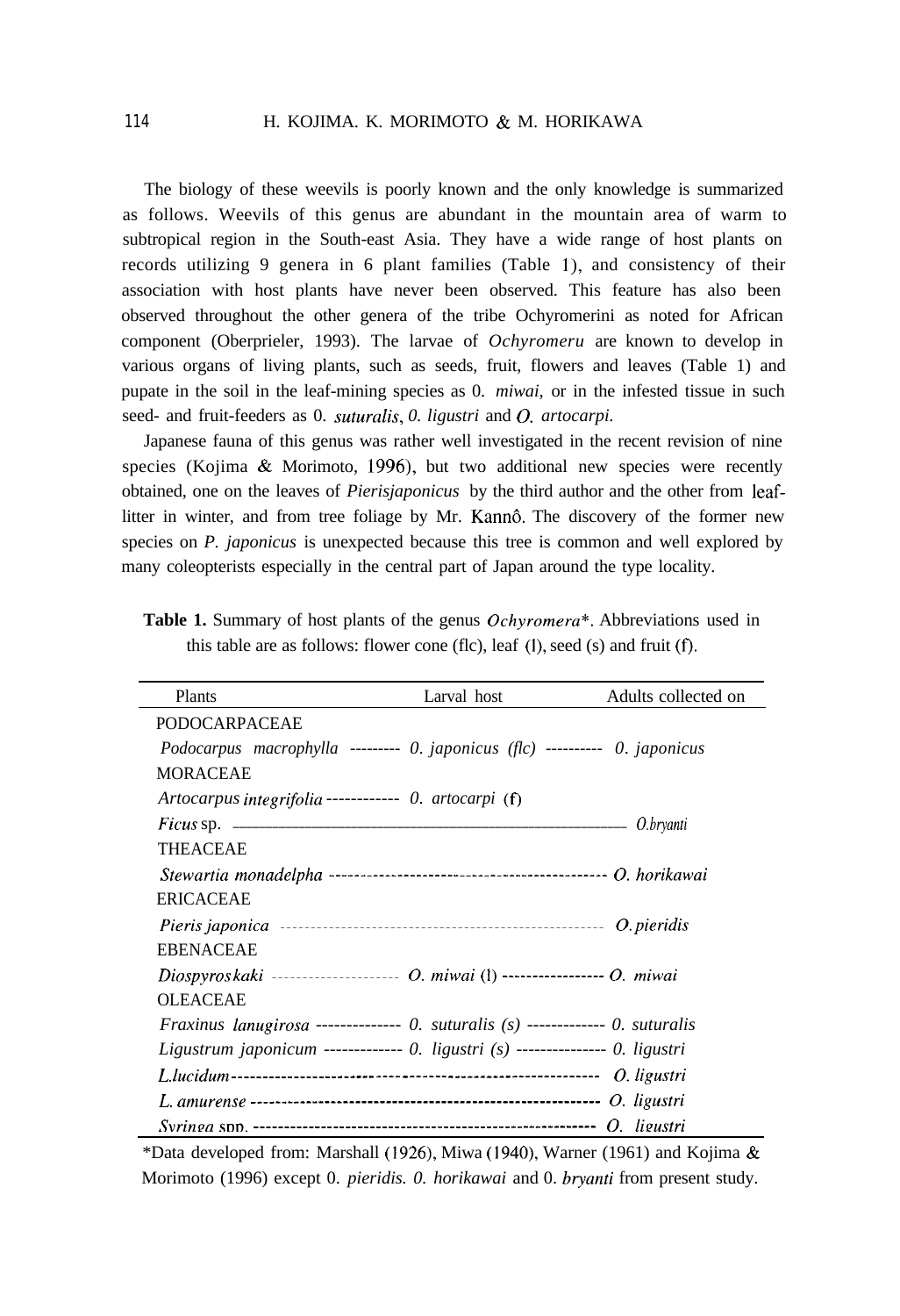## 114 H. KOJIMA. K. MORIMOTO & M. HORIKAWA

The biology of these weevils is poorly known and the only knowledge is summarized as follows. Weevils of this genus are abundant in the mountain area of warm to subtropical region in the South-east Asia. They have a wide range of host plants on records utilizing 9 genera in 6 plant families (Table l), and consistency of their association with host plants have never been observed. This feature has also been observed throughout the other genera of the tribe Ochyromerini as noted for African component (Oberprieler, 1993). The larvae of *Ochyromeru* are known to develop in various organs of living plants, such as seeds, fruit, flowers and leaves (Table 1) and pupate in the soil in the leaf-mining species as 0. *miwai,* or in the infested tissue in such seed- and fruit-feeders as 0. *suturalis*, 0. *ligustri* and *O. artocarpi.* 

Japanese fauna of this genus was rather well investigated in the recent revision of nine species (Kojima  $\&$  Morimoto, 1996), but two additional new species were recently obtained, one on the leaves of *Pierisjaponicus* by the third author and the other from leaflitter in winter, and from tree foliage by Mr. Kannô. The discovery of the former new species on *P. japonicus* is unexpected because this tree is common and well explored by many coleopterists especially in the central part of Japan around the type locality.

| Plants                                                                          | Larval host | Adults collected on |
|---------------------------------------------------------------------------------|-------------|---------------------|
| <b>PODOCARPACEAE</b>                                                            |             |                     |
| Podocarpus macrophylla --------- 0. japonicus (flc) ---------- 0. japonicus     |             |                     |
| MORACEAE                                                                        |             |                     |
| Artocarpus integrifolia----------- 0. artocarpi (f)                             |             |                     |
|                                                                                 |             |                     |
| <b>THEACEAE</b>                                                                 |             |                     |
|                                                                                 |             |                     |
| <b>ERICACEAE</b>                                                                |             |                     |
|                                                                                 |             |                     |
| <b>EBENACEAE</b>                                                                |             |                     |
| Diospyroskaki -------------------- O. miwai (1) ----------------- O. miwai      |             |                     |
| <b>OLEACEAE</b>                                                                 |             |                     |
| Fraxinus lanugirosa -------------- 0. suturalis $(s)$ ------------ 0. suturalis |             |                     |
| Ligustrum japonicum ------------ 0. ligustri $(s)$ -------------- 0. ligustri   |             |                     |
|                                                                                 |             |                     |
|                                                                                 |             |                     |
|                                                                                 |             |                     |

**Table 1.** Summary of host plants of the genus *Ochyromera\*.* Abbreviations used in this table are as follows: flower cone (flc), leaf (I), seed (s) and fruit (f).

\*Data developed from: Marshall (1926), Miwa (1940), Warner (1961) and Kojima & Morimoto (1996) except 0. *pieridis. 0. horikawai* and 0. *bryanti* from present study.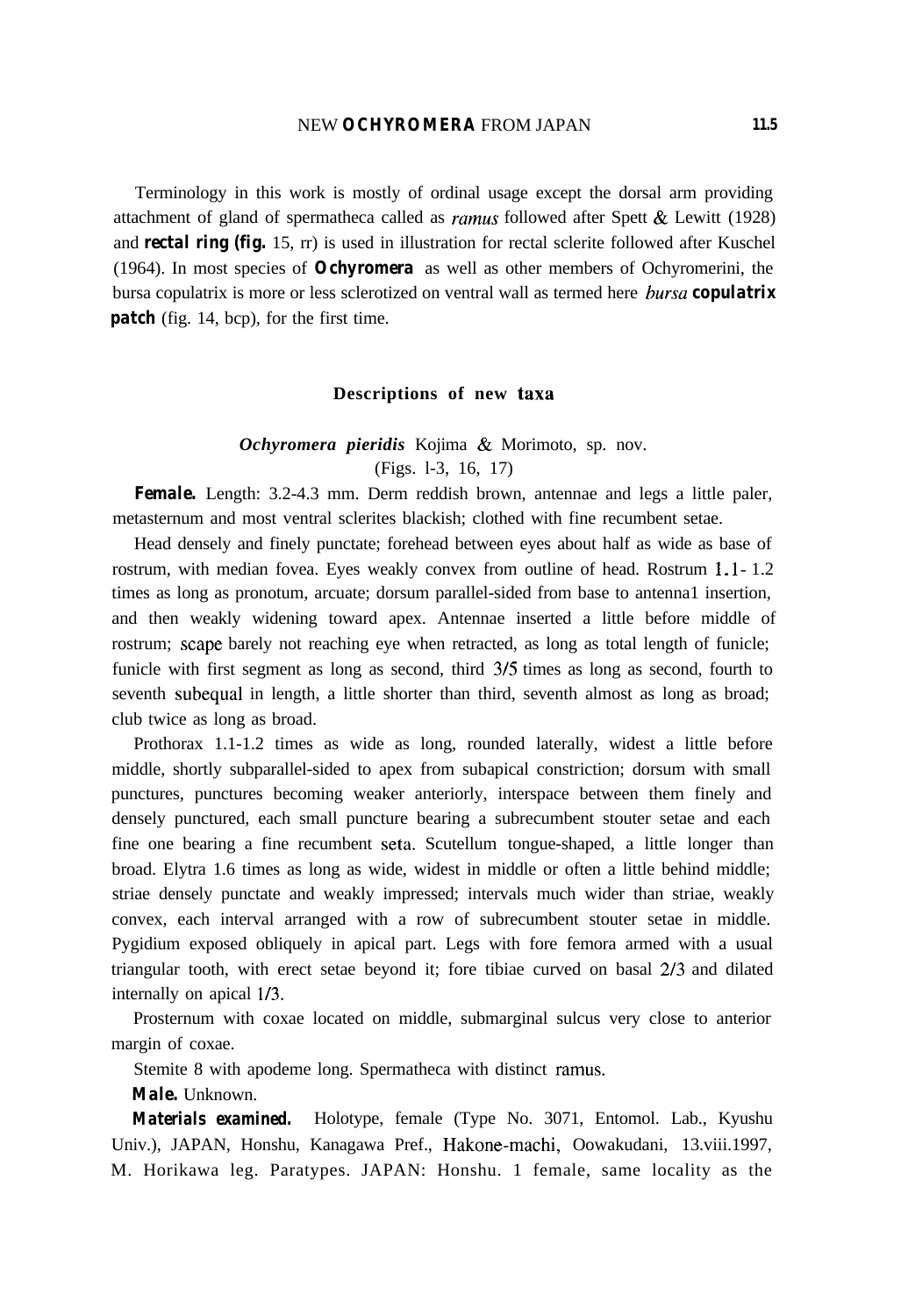Terminology in this work is mostly of ordinal usage except the dorsal arm providing attachment of gland of spermatheca called as *ramus* followed after Spett & Lewitt (1928) and *rectal ring (fig.* 15, rr) is used in illustration for rectal sclerite followed after Kuschel (1964). In most species of *Ochyromera* as well as other members of Ochyromerini, the bursa copulatrix is more or less sclerotized on ventral wall as termed here *hursa copulatrix patch* (fig. 14, bcp), for the first time.

#### **Descriptions of new taxa**

## *Ochyromera pieridis* Kojima & Morimoto, sp. nov. (Figs. l-3, 16, 17)

**Female.** Length: 3.2-4.3 mm. Derm reddish brown, antennae and legs a little paler, metasternum and most ventral sclerites blackish; clothed with fine recumbent setae.

Head densely and finely punctate; forehead between eyes about half as wide as base of rostrum, with median fovea. Eyes weakly convex from outline of head. Rostrum <sup>1</sup> . l- 1.2 times as long as pronotum, arcuate; dorsum parallel-sided from base to antenna1 insertion, and then weakly widening toward apex. Antennae inserted a little before middle of rostrum; scape barely not reaching eye when retracted, as long as total length of funicle; funicle with first segment as long as second, third 3/5 times as long as second, fourth to seventh subequal in length, a little shorter than third, seventh almost as long as broad; club twice as long as broad.

Prothorax 1.1-1.2 times as wide as long, rounded laterally, widest a little before middle, shortly subparallel-sided to apex from subapical constriction; dorsum with small punctures, punctures becoming weaker anteriorly, interspace between them finely and densely punctured, each small puncture bearing a subrecumbent stouter setae and each fine one bearing a fine recumbent seta. Scutellum tongue-shaped, a little longer than broad. Elytra 1.6 times as long as wide, widest in middle or often a little behind middle; striae densely punctate and weakly impressed; intervals much wider than striae, weakly convex, each interval arranged with a row of subrecumbent stouter setae in middle. Pygidium exposed obliquely in apical part. Legs with fore femora armed with a usual triangular tooth, with erect setae beyond it; fore tibiae curved on basal 2/3 and dilated internally on apical l/3.

Prosternum with coxae located on middle, submarginal sulcus very close to anterior margin of coxae.

Stemite 8 with apodeme long. Spermatheca with distinct ramus.

## *Male.* Unknown.

*Materials examined.* Holotype, female (Type No. 3071, Entomol. Lab., Kyushu Univ.), JAPAN, Honshu, Kanagawa Pref., Hakone-machi, Oowakudani, 13.viii.1997, M. Horikawa leg. Paratypes. JAPAN: Honshu. 1 female, same locality as the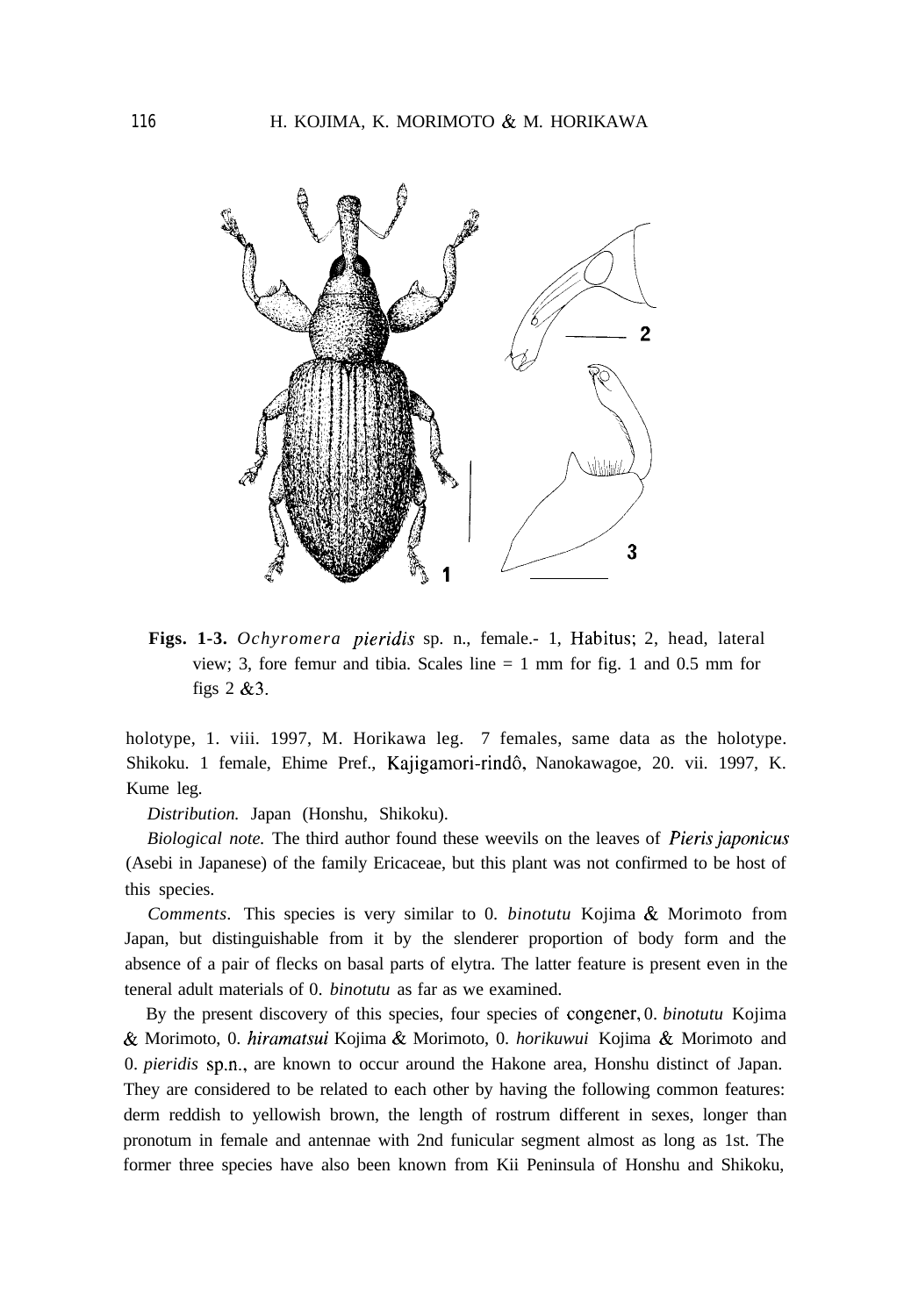

**Figs. 1-3.** *Ochyromera pieridis* sp. n., female.- 1, Habitus; 2, head, lateral view; 3, fore femur and tibia. Scales line  $= 1$  mm for fig. 1 and 0.5 mm for figs  $2 \& 3$ .

holotype, 1. viii. 1997, M. Horikawa leg. 7 females, same data as the holotype. Shikoku. 1 female, Ehime Pref., Kajigamori-rindô, Nanokawagoe, 20. vii. 1997, K. Kume leg.

*Distribution.* Japan (Honshu, Shikoku).

*Biological note.* The third author found these weevils on the leaves of *Pierisjuponicus* (Asebi in Japanese) of the family Ericaceae, but this plant was not confirmed to be host of this species.

*Comments.* This species is very similar to 0. *binotutu* Kojima & Morimoto from Japan, but distinguishable from it by the slenderer proportion of body form and the absence of a pair of flecks on basal parts of elytra. The latter feature is present even in the teneral adult materials of 0. *binotutu* as far as we examined.

By the present discovery of this species, four species of congener, 0. *binotutu* Kojima & Morimoto, 0. *hirumursui* Kojima & Morimoto, 0. *horikuwui* Kojima & Morimoto and 0. *pieridis* sp.n., are known to occur around the Hakone area, Honshu distinct of Japan. They are considered to be related to each other by having the following common features: derm reddish to yellowish brown, the length of rostrum different in sexes, longer than pronotum in female and antennae with 2nd funicular segment almost as long as 1st. The former three species have also been known from Kii Peninsula of Honshu and Shikoku,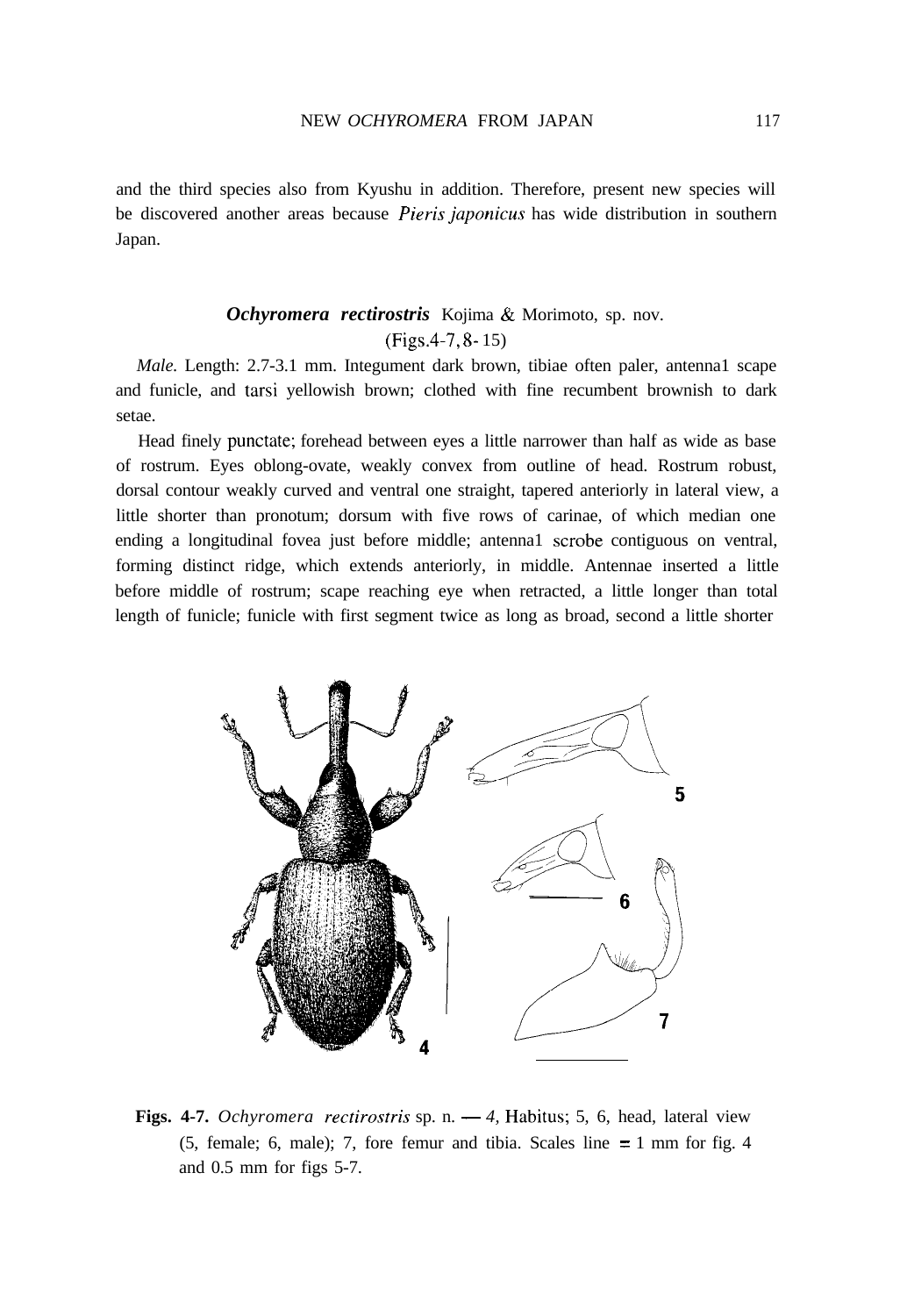and the third species also from Kyushu in addition. Therefore, present new species will be discovered another areas because *Pieris juponicus* has wide distribution in southern Japan.

# *Ochyromera rectirostris* Kojima & Morimoto, sp. nov. (Figs.4-7, 8- 15)

*Male.* Length: 2.7-3.1 mm. Integument dark brown, tibiae often paler, antenna1 scape and funicle, and tarsi yellowish brown; clothed with fine recumbent brownish to dark setae.

Head finely punctate; forehead between eyes a little narrower than half as wide as base of rostrum. Eyes oblong-ovate, weakly convex from outline of head. Rostrum robust, dorsal contour weakly curved and ventral one straight, tapered anteriorly in lateral view, a little shorter than pronotum; dorsum with five rows of carinae, of which median one ending a longitudinal fovea just before middle; antennal scrobe contiguous on ventral, forming distinct ridge, which extends anteriorly, in middle. Antennae inserted a little before middle of rostrum; scape reaching eye when retracted, a little longer than total length of funicle; funicle with first segment twice as long as broad, second a little shorter



**Figs. 4-7.** *Ochyromera rectirostris* sp. n. - 4, Habitus; 5, 6, head, lateral view (5, female; 6, male); 7, fore femur and tibia. Scales line  $= 1$  mm for fig. 4 and 0.5 mm for figs 5-7.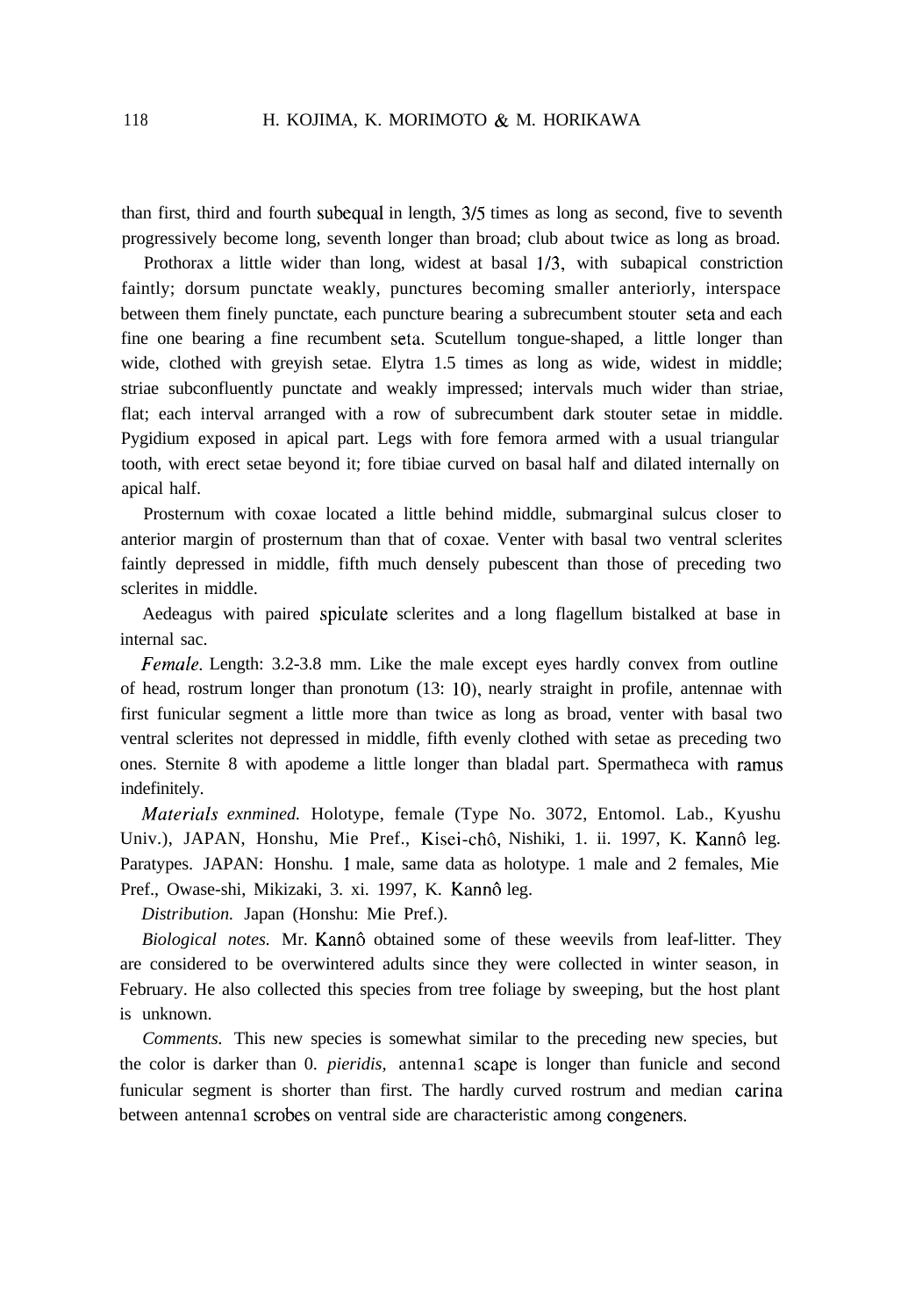than first, third and fourth subequal in length, 3/5 times as long as second, five to seventh progressively become long, seventh longer than broad; club about twice as long as broad.

Prothorax a little wider than long, widest at basal l/3, with subapical constriction faintly; dorsum punctate weakly, punctures becoming smaller anteriorly, interspace between them finely punctate, each puncture bearing a subrecumbent stouter seta and each fine one bearing a fine recumbent seta. Scutellum tongue-shaped, a little longer than wide, clothed with greyish setae. Elytra 1.5 times as long as wide, widest in middle; striae subconfluently punctate and weakly impressed; intervals much wider than striae, flat; each interval arranged with a row of subrecumbent dark stouter setae in middle. Pygidium exposed in apical part. Legs with fore femora armed with a usual triangular tooth, with erect setae beyond it; fore tibiae curved on basal half and dilated internally on apical half.

Prosternum with coxae located a little behind middle, submarginal sulcus closer to anterior margin of prosternum than that of coxae. Venter with basal two ventral sclerites faintly depressed in middle, fifth much densely pubescent than those of preceding two sclerites in middle.

Aedeagus with paired spiculate sclerites and a long flagellum bistalked at base in internal sac.

*Female.* Length: 3.2-3.8 mm. Like the male except eyes hardly convex from outline of head, rostrum longer than pronotum  $(13: 10)$ , nearly straight in profile, antennae with first funicular segment a little more than twice as long as broad, venter with basal two ventral sclerites not depressed in middle, fifth evenly clothed with setae as preceding two ones. Sternite 8 with apodeme a little longer than bladal part. Spermatheca with ramus indefinitely.

*Materiuls exnmined.* Holotype, female (Type No. 3072, Entomol. Lab., Kyushu Univ.), JAPAN, Honshu, Mie Pref., Kisei-chô, Nishiki, 1. ii. 1997, K. Kannô leg. Paratypes. JAPAN: Honshu. 1 male, same data as holotype. 1 male and 2 females, Mie Pref., Owase-shi, Mikizaki, 3. xi. 1997, K. Kannô leg.

*Distribution.* Japan (Honshu: Mie Pref.).

*Biological notes.* Mr. Kannô obtained some of these weevils from leaf-litter. They are considered to be overwintered adults since they were collected in winter season, in February. He also collected this species from tree foliage by sweeping, but the host plant is unknown.

*Comments.* This new species is somewhat similar to the preceding new species, but the color is darker than 0. *pieridis,* antenna1 scape is longer than funicle and second funicular segment is shorter than first. The hardly curved rostrum and median carina between antenna1 scrobes on ventral side are characteristic among congeners.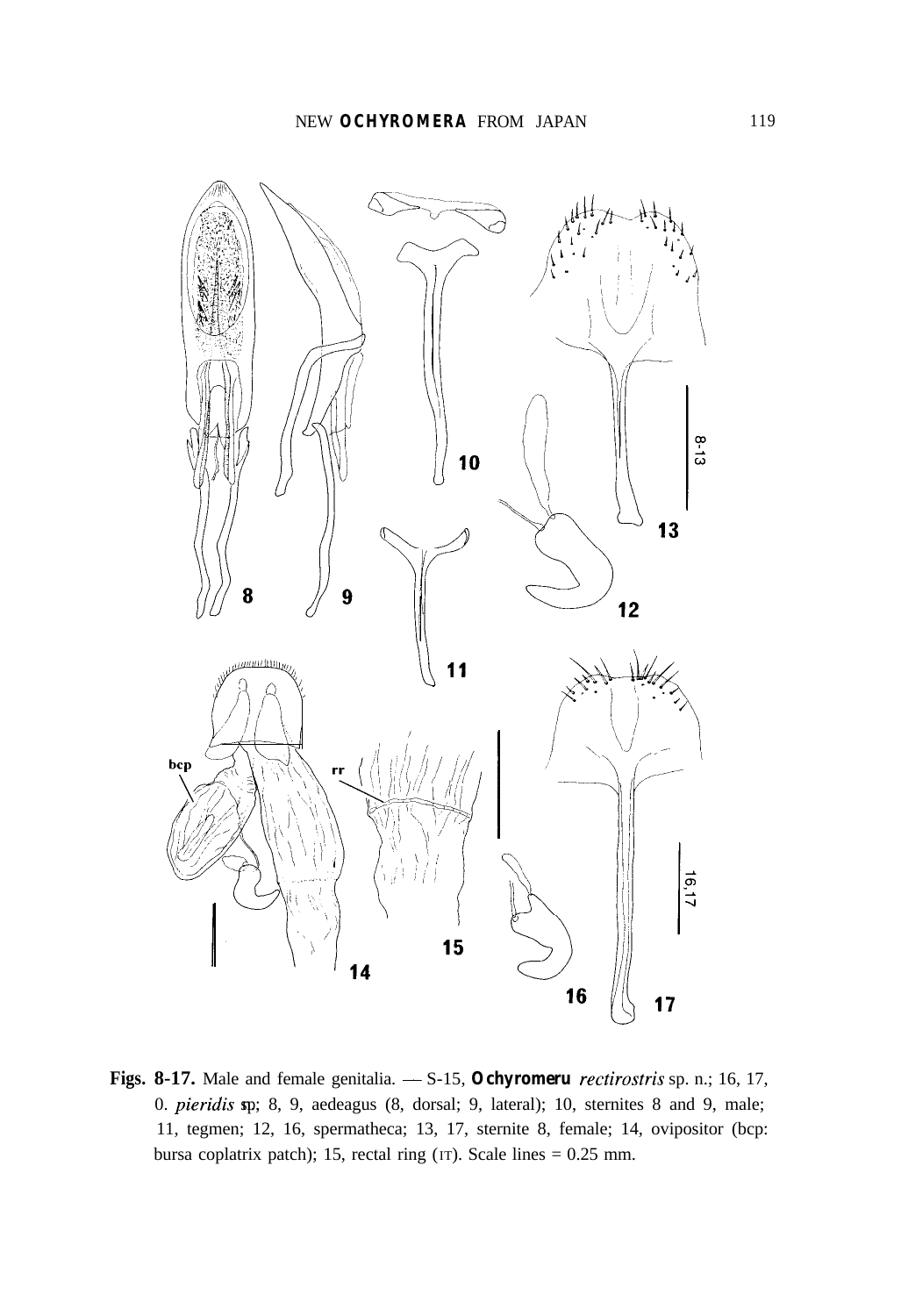

Figs. 8-17. Male and female genitalia.  $-$  S-15, *Ochyromeru rectirostris* sp. n.; 16, 17, 0.  $pieridis$  sp; 8, 9, aedeagus (8, dorsal; 9, lateral); 10, sternites 8 and 9, male; 11, tegmen; 12, 16, spermatheca; 13, 17, sternite 8, female; 14, ovipositor (bcp: bursa coplatrix patch); 15, rectal ring (IT). Scale lines = 0.25 mm.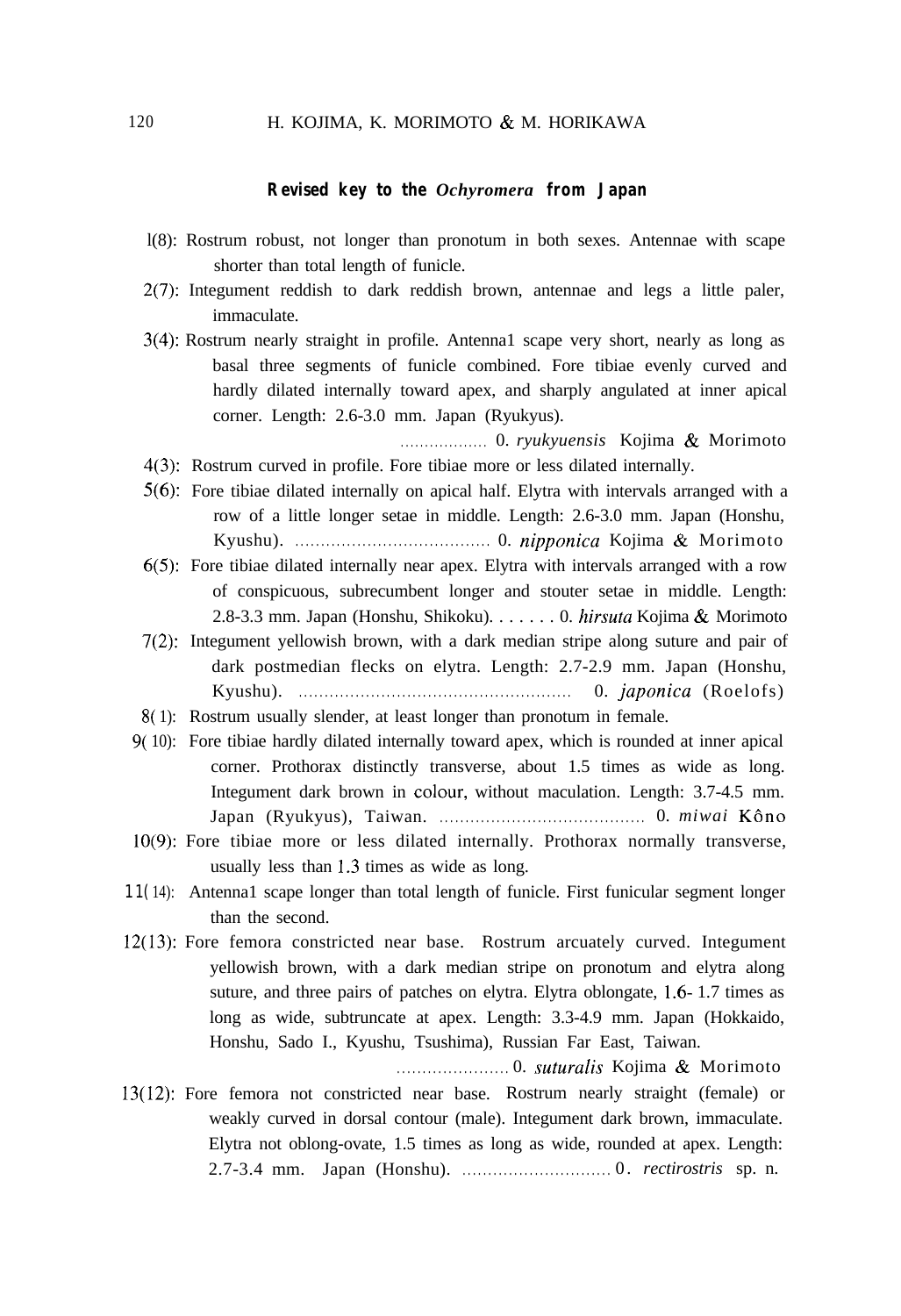#### **Revised key to the** *Ochyromera* **from Japan**

- l(8): Rostrum robust, not longer than pronotum in both sexes. Antennae with scape shorter than total length of funicle.
- 2(7): Integument reddish to dark reddish brown, antennae and legs a little paler, immaculate.
- 3(4): Rostrum nearly straight in profile. Antenna1 scape very short, nearly as long as basal three segments of funicle combined. Fore tibiae evenly curved and hardly dilated internally toward apex, and sharply angulated at inner apical corner. Length: 2.6-3.0 mm. Japan (Ryukyus).
- . . . . . . . . . . . . . . . . . . 0. *ryukyuensis* Kojima & Morimoto 4(3): Rostrum curved in profile. Fore tibiae more or less dilated internally.
- 5(6): Fore tibiae dilated internally on apical half. Elytra with intervals arranged with a row of a little longer setae in middle. Length: 2.6-3.0 mm. Japan (Honshu, Kyushu). . . . . . . . . . . . . . . . . . . . . . . . . . . . . . . . . . . . . . . 0. *nipponica* Kojima & Morimoto
- 6(5): Fore tibiae dilated internally near apex. Elytra with intervals arranged with a row of conspicuous, subrecumbent longer and stouter setae in middle. Length: 2.8-3.3 mm. Japan (Honshu, Shikoku). . . . . . . 0. *hirsutu* Kojima & Morimoto
- 7(2): Integument yellowish brown, with a dark median stripe along suture and pair of dark postmedian flecks on elytra. Length: 2.7-2.9 mm. Japan (Honshu, Kyushu). . . . . . . . . . . . . . . . . . . . . . . . . . . . . . . . . . . . . . . . . . . . . . . . . . . . . . 0. *juponica* (Roelofs)
- 8( 1): Rostrum usually slender, at least longer than pronotum in female.
- 9( 10): Fore tibiae hardly dilated internally toward apex, which is rounded at inner apical corner. Prothorax distinctly transverse, about 1.5 times as wide as long. Integument dark brown in colour, without maculation. Length: 3.7-4.5 mm. Japan (Ryukyus), Taiwan. . . . . . . . . . . . . . . . . . . . . . . . . . . . . . . . . . . . . . . . . 0. *miwai* KBno
- lO(9): Fore tibiae more or less dilated internally. Prothorax normally transverse, usually less than 1.3 times as wide as long.
- 1 1( 14): Antenna1 scape longer than total length of funicle. First funicular segment longer than the second.
- 12(13): Fore femora constricted near base. Rostrum arcuately curved. Integument yellowish brown, with a dark median stripe on pronotum and elytra along suture, and three pairs of patches on elytra. Elytra oblongate, 1.6- 1.7 times as long as wide, subtruncate at apex. Length: 3.3-4.9 mm. Japan (Hokkaido, Honshu, Sado I., Kyushu, Tsushima), Russian Far East, Taiwan.

. . . . . . . . . . . . . . . . . . . . . . 0. *suturulis* Kojima & Morimoto

13(12): Fore femora not constricted near base. Rostrum nearly straight (female) or weakly curved in dorsal contour (male). Integument dark brown, immaculate. Elytra not oblong-ovate, 1.5 times as long as wide, rounded at apex. Length: 2.7-3.4 mm. Japan (Honshu). . . . . . . . . . . . . . . . . . . . . . . . . . . . . . 0 . *rectirostris* sp. n.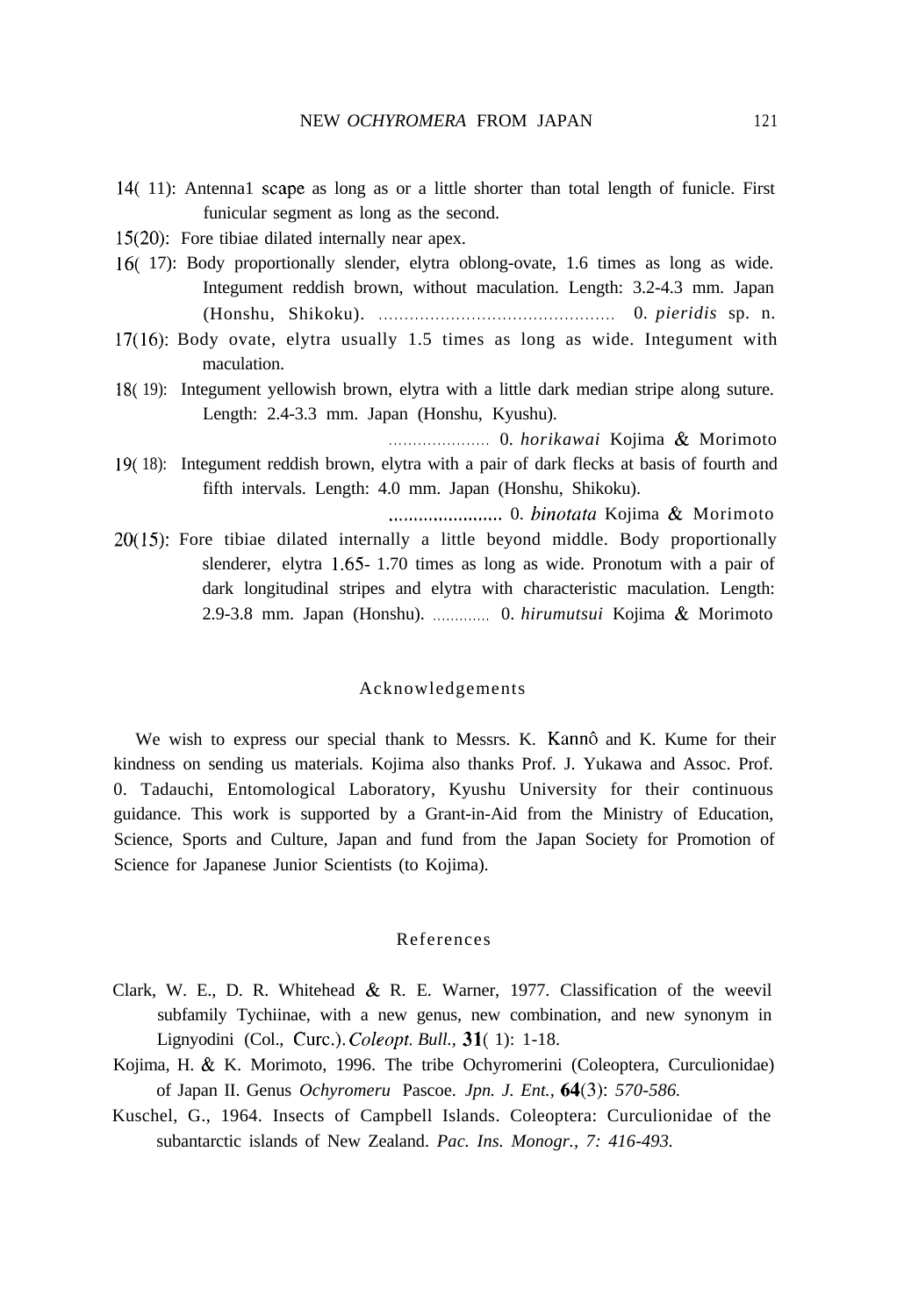- 14( 11): Antenna1 scape as long as or a little shorter than total length of funicle. First funicular segment as long as the second.
- 15(20): Fore tibiae dilated internally near apex.
- 16( 17): Body proportionally slender, elytra oblong-ovate, 1.6 times as long as wide. Integument reddish brown, without maculation. Length: 3.2-4.3 mm. Japan (Honshu, Shikoku). . . . . . . . . . . . . . . . . . . . . . . . . . . . . . . . . . . . . . . . . . . . . . . 0. *pieridis* sp. n.
- 17(16): Body ovate, elytra usually 1.5 times as long as wide. Integument with maculation.
- 18( 19): Integument yellowish brown, elytra with a little dark median stripe along suture. Length: 2.4-3.3 mm. Japan (Honshu, Kyushu).

. . . . . . . . . . . . . . . . . . . . . 0. *horikawai* Kojima & Morimoto

19( 18): Integument reddish brown, elytra with a pair of dark flecks at basis of fourth and fifth intervals. Length: 4.0 mm. Japan (Honshu, Shikoku).

.,..................... 0. *hinotutu* Kojima & Morimoto

20(15): Fore tibiae dilated internally a little beyond middle. Body proportionally slenderer, elytra 1.65 1.70 times as long as wide. Pronotum with a pair of dark longitudinal stripes and elytra with characteristic maculation. Length: 2.9-3.8 mm. Japan (Honshu). . . . . . . . . . . . . . 0. *hirumutsui* Kojima & Morimoto

#### Acknowledgements

We wish to express our special thank to Messrs. K. Kannô and K. Kume for their kindness on sending us materials. Kojima also thanks Prof. J. Yukawa and Assoc. Prof. 0. Tadauchi, Entomological Laboratory, Kyushu University for their continuous guidance. This work is supported by a Grant-in-Aid from the Ministry of Education, Science, Sports and Culture, Japan and fund from the Japan Society for Promotion of Science for Japanese Junior Scientists (to Kojima).

## References

- Clark, W. E., D. R. Whitehead & R. E. Warner, 1977. Classification of the weevil subfamily Tychiinae, with a new genus, new combination, and new synonym in Lignyodini (Col., Curc.). *Coleopt. Bull.*, **31**(1): 1-18.
- Kojima, H. & K. Morimoto, 1996. The tribe Ochyromerini (Coleoptera, Curculionidae) of Japan II. Genus *Ochyromeru* Pascoe. *Jpn. J. Ent., 64(3): 570-586.*
- Kuschel, G., 1964. Insects of Campbell Islands. Coleoptera: Curculionidae of the subantarctic islands of New Zealand. *Pac. Ins. Monogr., 7: 416-493.*